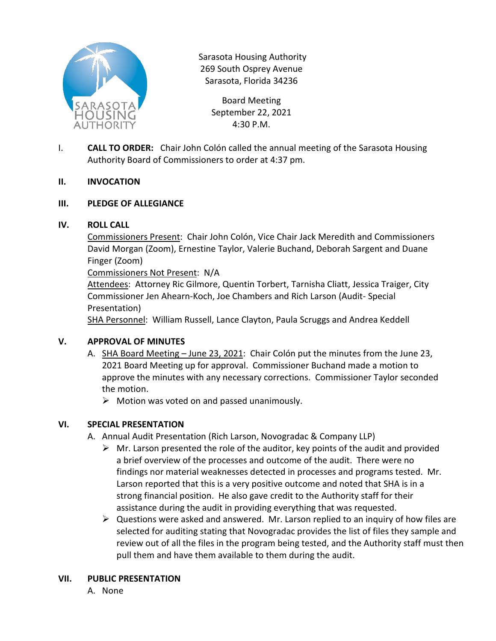

Sarasota Housing Authority 269 South Osprey Avenue Sarasota, Florida 34236

> Board Meeting September 22, 2021 4:30 P.M.

I. **CALL TO ORDER:** Chair John Colón called the annual meeting of the Sarasota Housing Authority Board of Commissioners to order at 4:37 pm.

### **II. INVOCATION**

### **III. PLEDGE OF ALLEGIANCE**

### **IV. ROLL CALL**

Commissioners Present: Chair John Colón, Vice Chair Jack Meredith and Commissioners David Morgan (Zoom), Ernestine Taylor, Valerie Buchand, Deborah Sargent and Duane Finger (Zoom)

Commissioners Not Present: N/A

Attendees: Attorney Ric Gilmore, Quentin Torbert, Tarnisha Cliatt, Jessica Traiger, City Commissioner Jen Ahearn-Koch, Joe Chambers and Rich Larson (Audit- Special Presentation)

SHA Personnel: William Russell, Lance Clayton, Paula Scruggs and Andrea Keddell

#### **V. APPROVAL OF MINUTES**

- A. SHA Board Meeting June 23, 2021: Chair Colón put the minutes from the June 23, 2021 Board Meeting up for approval. Commissioner Buchand made a motion to approve the minutes with any necessary corrections. Commissioner Taylor seconded the motion.
	- $\triangleright$  Motion was voted on and passed unanimously.

# **VI. SPECIAL PRESENTATION**

- A. Annual Audit Presentation (Rich Larson, Novogradac & Company LLP)
	- $\triangleright$  Mr. Larson presented the role of the auditor, key points of the audit and provided a brief overview of the processes and outcome of the audit. There were no findings nor material weaknesses detected in processes and programs tested. Mr. Larson reported that this is a very positive outcome and noted that SHA is in a strong financial position. He also gave credit to the Authority staff for their assistance during the audit in providing everything that was requested.
	- $\triangleright$  Questions were asked and answered. Mr. Larson replied to an inquiry of how files are selected for auditing stating that Novogradac provides the list of files they sample and review out of all the files in the program being tested, and the Authority staff must then pull them and have them available to them during the audit.

#### **VII. PUBLIC PRESENTATION**

A. None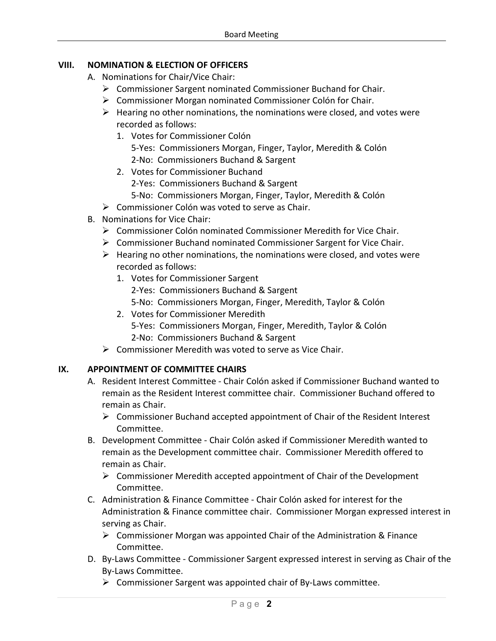# **VIII. NOMINATION & ELECTION OF OFFICERS**

- A. Nominations for Chair/Vice Chair:
	- $\triangleright$  Commissioner Sargent nominated Commissioner Buchand for Chair.
	- $\triangleright$  Commissioner Morgan nominated Commissioner Colón for Chair.
	- $\triangleright$  Hearing no other nominations, the nominations were closed, and votes were recorded as follows:
		- 1. Votes for Commissioner Colón
			- 5-Yes: Commissioners Morgan, Finger, Taylor, Meredith & Colón 2-No: Commissioners Buchand & Sargent
		- 2. Votes for Commissioner Buchand
			- 2-Yes: Commissioners Buchand & Sargent
			- 5-No: Commissioners Morgan, Finger, Taylor, Meredith & Colón
	- $\triangleright$  Commissioner Colón was voted to serve as Chair.
- B. Nominations for Vice Chair:
	- $\triangleright$  Commissioner Colón nominated Commissioner Meredith for Vice Chair.
	- $\triangleright$  Commissioner Buchand nominated Commissioner Sargent for Vice Chair.
	- $\triangleright$  Hearing no other nominations, the nominations were closed, and votes were recorded as follows:
		- 1. Votes for Commissioner Sargent 2-Yes: Commissioners Buchand & Sargent 5-No: Commissioners Morgan, Finger, Meredith, Taylor & Colón
		- 2. Votes for Commissioner Meredith 5-Yes: Commissioners Morgan, Finger, Meredith, Taylor & Colón 2-No: Commissioners Buchand & Sargent
	- $\triangleright$  Commissioner Meredith was voted to serve as Vice Chair.

# **IX. APPOINTMENT OF COMMITTEE CHAIRS**

- A. Resident Interest Committee Chair Colón asked if Commissioner Buchand wanted to remain as the Resident Interest committee chair. Commissioner Buchand offered to remain as Chair.
	- $\triangleright$  Commissioner Buchand accepted appointment of Chair of the Resident Interest Committee.
- B. Development Committee Chair Colón asked if Commissioner Meredith wanted to remain as the Development committee chair. Commissioner Meredith offered to remain as Chair.
	- $\triangleright$  Commissioner Meredith accepted appointment of Chair of the Development Committee.
- C. Administration & Finance Committee Chair Colón asked for interest for the Administration & Finance committee chair. Commissioner Morgan expressed interest in serving as Chair.
	- $\triangleright$  Commissioner Morgan was appointed Chair of the Administration & Finance Committee.
- D. By-Laws Committee Commissioner Sargent expressed interest in serving as Chair of the By-Laws Committee.
	- $\triangleright$  Commissioner Sargent was appointed chair of By-Laws committee.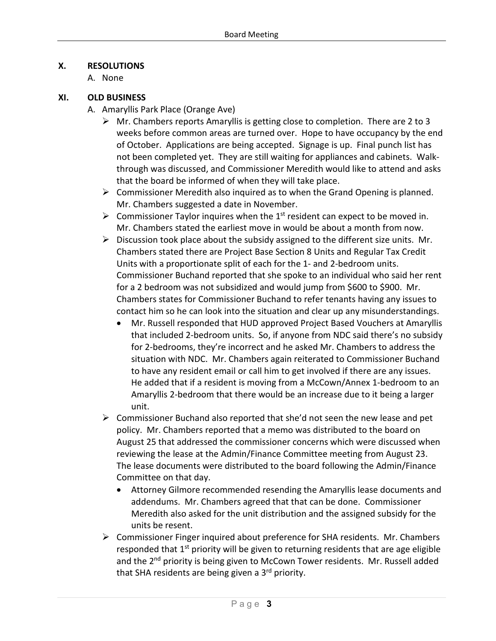## **X. RESOLUTIONS**

A. None

### **XI. OLD BUSINESS**

- A. Amaryllis Park Place (Orange Ave)
	- $\triangleright$  Mr. Chambers reports Amaryllis is getting close to completion. There are 2 to 3 weeks before common areas are turned over. Hope to have occupancy by the end of October. Applications are being accepted. Signage is up. Final punch list has not been completed yet. They are still waiting for appliances and cabinets. Walkthrough was discussed, and Commissioner Meredith would like to attend and asks that the board be informed of when they will take place.
	- $\triangleright$  Commissioner Meredith also inquired as to when the Grand Opening is planned. Mr. Chambers suggested a date in November.
	- $\triangleright$  Commissioner Taylor inquires when the 1<sup>st</sup> resident can expect to be moved in. Mr. Chambers stated the earliest move in would be about a month from now.
	- $\triangleright$  Discussion took place about the subsidy assigned to the different size units. Mr. Chambers stated there are Project Base Section 8 Units and Regular Tax Credit Units with a proportionate split of each for the 1- and 2-bedroom units. Commissioner Buchand reported that she spoke to an individual who said her rent for a 2 bedroom was not subsidized and would jump from \$600 to \$900. Mr. Chambers states for Commissioner Buchand to refer tenants having any issues to contact him so he can look into the situation and clear up any misunderstandings.
		- Mr. Russell responded that HUD approved Project Based Vouchers at Amaryllis that included 2-bedroom units. So, if anyone from NDC said there's no subsidy for 2-bedrooms, they're incorrect and he asked Mr. Chambers to address the situation with NDC. Mr. Chambers again reiterated to Commissioner Buchand to have any resident email or call him to get involved if there are any issues. He added that if a resident is moving from a McCown/Annex 1-bedroom to an Amaryllis 2-bedroom that there would be an increase due to it being a larger unit.
	- $\triangleright$  Commissioner Buchand also reported that she'd not seen the new lease and pet policy. Mr. Chambers reported that a memo was distributed to the board on August 25 that addressed the commissioner concerns which were discussed when reviewing the lease at the Admin/Finance Committee meeting from August 23. The lease documents were distributed to the board following the Admin/Finance Committee on that day.
		- Attorney Gilmore recommended resending the Amaryllis lease documents and addendums. Mr. Chambers agreed that that can be done. Commissioner Meredith also asked for the unit distribution and the assigned subsidy for the units be resent.
	- $\triangleright$  Commissioner Finger inquired about preference for SHA residents. Mr. Chambers responded that  $1<sup>st</sup>$  priority will be given to returning residents that are age eligible and the 2<sup>nd</sup> priority is being given to McCown Tower residents. Mr. Russell added that SHA residents are being given a 3<sup>rd</sup> priority.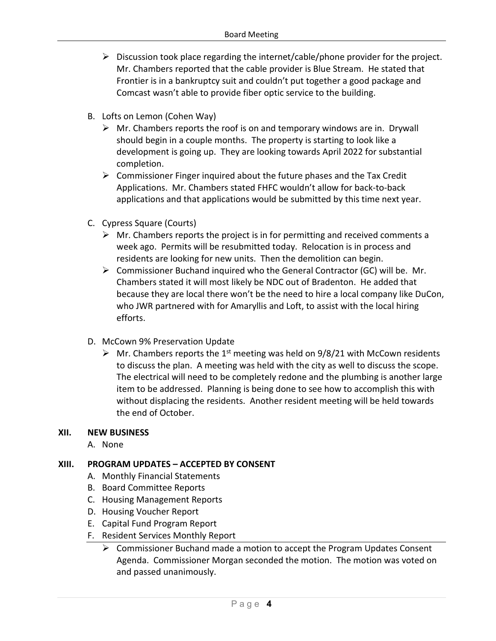- $\triangleright$  Discussion took place regarding the internet/cable/phone provider for the project. Mr. Chambers reported that the cable provider is Blue Stream. He stated that Frontier is in a bankruptcy suit and couldn't put together a good package and Comcast wasn't able to provide fiber optic service to the building.
- B. Lofts on Lemon (Cohen Way)
	- $\triangleright$  Mr. Chambers reports the roof is on and temporary windows are in. Drywall should begin in a couple months. The property is starting to look like a development is going up. They are looking towards April 2022 for substantial completion.
	- $\triangleright$  Commissioner Finger inquired about the future phases and the Tax Credit Applications. Mr. Chambers stated FHFC wouldn't allow for back-to-back applications and that applications would be submitted by this time next year.
- C. Cypress Square (Courts)
	- $\triangleright$  Mr. Chambers reports the project is in for permitting and received comments a week ago. Permits will be resubmitted today. Relocation is in process and residents are looking for new units. Then the demolition can begin.
	- $\triangleright$  Commissioner Buchand inquired who the General Contractor (GC) will be. Mr. Chambers stated it will most likely be NDC out of Bradenton. He added that because they are local there won't be the need to hire a local company like DuCon, who JWR partnered with for Amaryllis and Loft, to assist with the local hiring efforts.
- D. McCown 9% Preservation Update
	- $\triangleright$  Mr. Chambers reports the 1<sup>st</sup> meeting was held on 9/8/21 with McCown residents to discuss the plan. A meeting was held with the city as well to discuss the scope. The electrical will need to be completely redone and the plumbing is another large item to be addressed. Planning is being done to see how to accomplish this with without displacing the residents. Another resident meeting will be held towards the end of October.

# **XII. NEW BUSINESS**

A. None

# **XIII. PROGRAM UPDATES – ACCEPTED BY CONSENT**

- A. Monthly Financial Statements
- B. Board Committee Reports
- C. Housing Management Reports
- D. Housing Voucher Report
- E. Capital Fund Program Report
- F. Resident Services Monthly Report
	- $\triangleright$  Commissioner Buchand made a motion to accept the Program Updates Consent Agenda. Commissioner Morgan seconded the motion. The motion was voted on and passed unanimously.